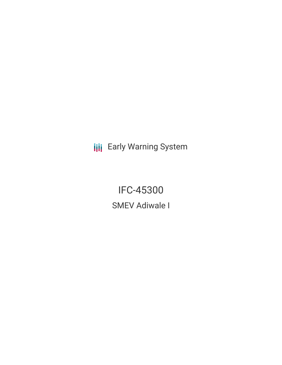**III** Early Warning System

**IFC-45300 SMEV Adiwale I**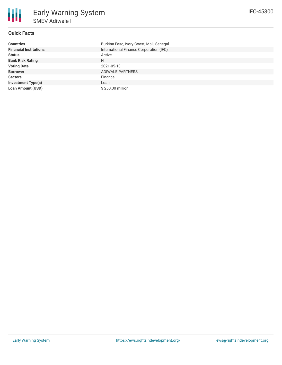

## **Quick Facts**

| <b>Countries</b>              | Burkina Faso, Ivory Coast, Mali, Senegal |
|-------------------------------|------------------------------------------|
| <b>Financial Institutions</b> | International Finance Corporation (IFC)  |
| <b>Status</b>                 | Active                                   |
| <b>Bank Risk Rating</b>       | FI                                       |
| <b>Voting Date</b>            | 2021-05-10                               |
| <b>Borrower</b>               | ADIWALE PARTNERS                         |
| <b>Sectors</b>                | Finance                                  |
| <b>Investment Type(s)</b>     | Loan                                     |
| <b>Loan Amount (USD)</b>      | \$250.00 million                         |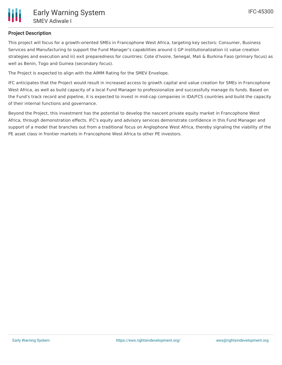# **Project Description**

This project will focus for a growth-oriented SMEs in Francophone West Africa, targeting key sectors: Consumer, Business Services and Manufacturing to support the Fund Manager's capabilities around i) GP institutionalization ii) value creation strategies and execution and iii) exit preparedness for countries: Cote d'Ivoire, Senegal, Mali & Burkina Faso (primary focus) as well as Benin, Togo and Guinea (secondary focus).

The Project is expected to align with the AIMM Rating for the SMEV Envelope.

IFC anticipates that the Project would result in increased access to growth capital and value creation for SMEs in Francophone West Africa, as well as build capacity of a local Fund Manager to professionalize and successfully manage its funds. Based on the Fund's track record and pipeline, it is expected to invest in mid-cap companies in IDA/FCS countries and build the capacity of their internal functions and governance.

Beyond the Project, this investment has the potential to develop the nascent private equity market in Francophone West Africa, through demonstration effects. IFC's equity and advisory services demonstrate confidence in this Fund Manager and support of a model that branches out from a traditional focus on Anglophone West Africa, thereby signaling the viability of the PE asset class in frontier markets in Francophone West Africa to other PE investors.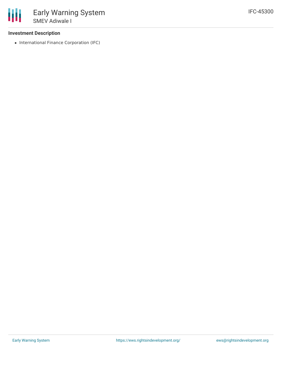### **Investment Description**

• International Finance Corporation (IFC)